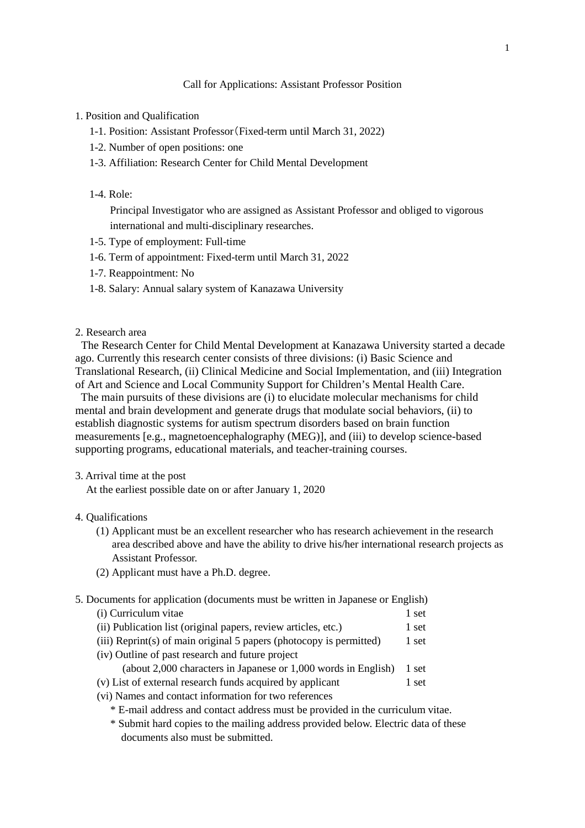#### 1. Position and Qualification

- 1-1. Position: Assistant Professor(Fixed-term until March 31, 2022)
- 1-2. Number of open positions: one
- 1-3. Affiliation: Research Center for Child Mental Development
- 1-4. Role:

Principal Investigator who are assigned as Assistant Professor and obliged to vigorous international and multi-disciplinary researches.

- 1-5. Type of employment: Full-time
- 1-6. Term of appointment: Fixed-term until March 31, 2022
- 1-7. Reappointment: No
- 1-8. Salary: Annual salary system of Kanazawa University
- 2. Research area

The Research Center for Child Mental Development at Kanazawa University started a decade ago. Currently this research center consists of three divisions: (i) Basic Science and Translational Research, (ii) Clinical Medicine and Social Implementation, and (iii) Integration of Art and Science and Local Community Support for Children's Mental Health Care.

The main pursuits of these divisions are (i) to elucidate molecular mechanisms for child mental and brain development and generate drugs that modulate social behaviors, (ii) to establish diagnostic systems for autism spectrum disorders based on brain function measurements [e.g., magnetoencephalography (MEG)], and (iii) to develop science-based supporting programs, educational materials, and teacher-training courses.

3. Arrival time at the post

At the earliest possible date on or after January 1, 2020

- 4. Qualifications
	- (1) Applicant must be an excellent researcher who has research achievement in the research area described above and have the ability to drive his/her international research projects as Assistant Professor.
	- (2) Applicant must have a Ph.D. degree.
- 5. Documents for application (documents must be written in Japanese or English)

| (i) Curriculum vitae                                                                                                              | 1 set |
|-----------------------------------------------------------------------------------------------------------------------------------|-------|
| (ii) Publication list (original papers, review articles, etc.)                                                                    | 1 set |
| (iii) Reprint(s) of main original 5 papers (photocopy is permitted)                                                               | 1 set |
| (iv) Outline of past research and future project                                                                                  |       |
| (about 2,000 characters in Japanese or 1,000 words in English)                                                                    | 1 set |
| (v) List of external research funds acquired by applicant                                                                         | 1 set |
| $\lambda$ is the set of $\lambda$ is the set of $\lambda$ is the set of $\lambda$ is the set of $\lambda$ is the set of $\lambda$ |       |

(vi) Names and contact information for two references

\* E-mail address and contact address must be provided in the curriculum vitae.

\* Submit hard copies to the mailing address provided below. Electric data of these documents also must be submitted.